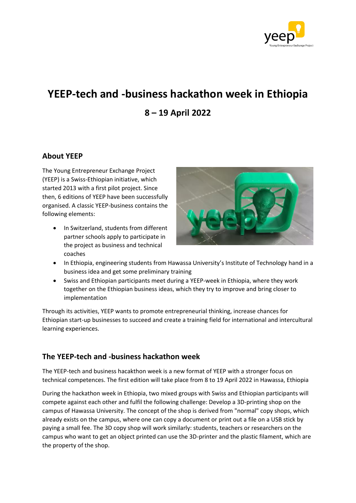

# **YEEP-tech and -business hackathon week in Ethiopia 8 – 19 April 2022**

# **About YEEP**

The Young Entrepreneur Exchange Project (YEEP) is a Swiss-Ethiopian initiative, which started 2013 with a first pilot project. Since then, 6 editions of YEEP have been successfully organised. A classic YEEP-business contains the following elements:

• In Switzerland, students from different partner schools apply to participate in the project as business and technical coaches



- In Ethiopia, engineering students from Hawassa University's Institute of Technology hand in a business idea and get some preliminary training
- Swiss and Ethiopian participants meet during a YEEP-week in Ethiopia, where they work together on the Ethiopian business ideas, which they try to improve and bring closer to implementation

Through its activities, YEEP wants to promote entrepreneurial thinking, increase chances for Ethiopian start-up businesses to succeed and create a training field for international and intercultural learning experiences.

## **The YEEP-tech and -business hackathon week**

The YEEP-tech and business hacakthon week is a new format of YEEP with a stronger focus on technical competences. The first edition will take place from 8 to 19 April 2022 in Hawassa, Ethiopia

During the hackathon week in Ethiopia, two mixed groups with Swiss and Ethiopian participants will compete against each other and fulfil the following challenge: Develop a 3D-printing shop on the campus of Hawassa University. The concept of the shop is derived from "normal" copy shops, which already exists on the campus, where one can copy a document or print out a file on a USB stick by paying a small fee. The 3D copy shop will work similarly: students, teachers or researchers on the campus who want to get an object printed can use the 3D-printer and the plastic filament, which are the property of the shop.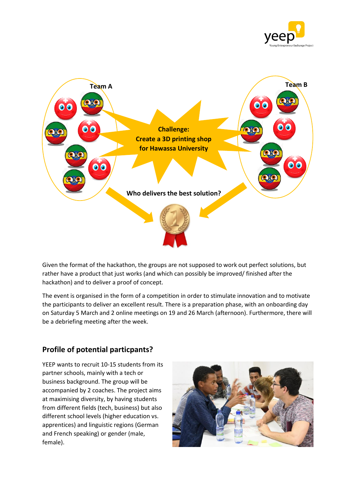



Given the format of the hackathon, the groups are not supposed to work out perfect solutions, but rather have a product that just works (and which can possibly be improved/ finished after the hackathon) and to deliver a proof of concept.

The event is organised in the form of a competition in order to stimulate innovation and to motivate the participants to deliver an excellent result. There is a preparation phase, with an onboarding day on Saturday 5 March and 2 online meetings on 19 and 26 March (afternoon). Furthermore, there will be a debriefing meeting after the week.

# **Profile of potential particpants?**

YEEP wants to recruit 10-15 students from its partner schools, mainly with a tech or business background. The group will be accompanied by 2 coaches. The project aims at maximising diversity, by having students from different fields (tech, business) but also different school levels (higher education vs. apprentices) and linguistic regions (German and French speaking) or gender (male, female).

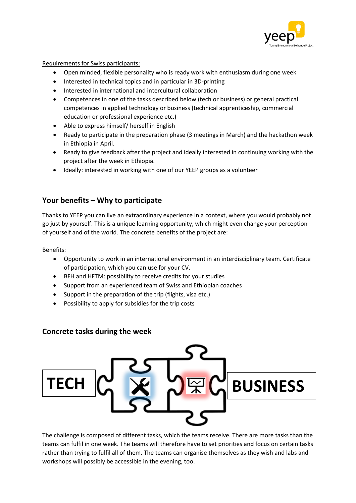

Requirements for Swiss participants:

- Open minded, flexible personality who is ready work with enthusiasm during one week
- Interested in technical topics and in particular in 3D-printing
- Interested in international and intercultural collaboration
- Competences in one of the tasks described below (tech or business) or general practical competences in applied technology or business (technical apprenticeship, commercial education or professional experience etc.)
- Able to express himself/ herself in English
- Ready to participate in the preparation phase (3 meetings in March) and the hackathon week in Ethiopia in April.
- Ready to give feedback after the project and ideally interested in continuing working with the project after the week in Ethiopia.
- Ideally: interested in working with one of our YEEP groups as a volunteer

# **Your benefits – Why to participate**

Thanks to YEEP you can live an extraordinary experience in a context, where you would probably not go just by yourself. This is a unique learning opportunity, which might even change your perception of yourself and of the world. The concrete benefits of the project are:

## Benefits:

- Opportunity to work in an international environment in an interdisciplinary team. Certificate of participation, which you can use for your CV.
- BFH and HFTM: possibility to receive credits for your studies
- Support from an experienced team of Swiss and Ethiopian coaches
- Support in the preparation of the trip (flights, visa etc.)
- Possibility to apply for subsidies for the trip costs

## **Concrete tasks during the week**



The challenge is composed of different tasks, which the teams receive. There are more tasks than the teams can fulfil in one week. The teams will therefore have to set priorities and focus on certain tasks rather than trying to fulfil all of them. The teams can organise themselves as they wish and labs and workshops will possibly be accessible in the evening, too.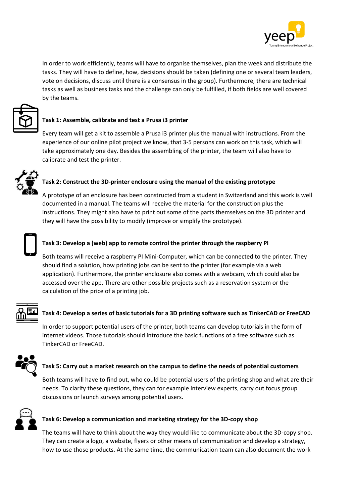

In order to work efficiently, teams will have to organise themselves, plan the week and distribute the tasks. They will have to define, how, decisions should be taken (defining one or several team leaders, vote on decisions, discuss until there is a consensus in the group). Furthermore, there are technical tasks as well as business tasks and the challenge can only be fulfilled, if both fields are well covered by the teams.



Every team will get a kit to assemble a Prusa i3 printer plus the manual with instructions. From the experience of our online pilot project we know, that 3-5 persons can work on this task, which will take approximately one day. Besides the assembling of the printer, the team will also have to calibrate and test the printer.



A prototype of an enclosure has been constructed from a student in Switzerland and this work is well documented in a manual. The teams will receive the material for the construction plus the instructions. They might also have to print out some of the parts themselves on the 3D printer and they will have the possibility to modify (improve or simplify the prototype).



#### **Task 3: Develop a (web) app to remote control the printer through the raspberry PI**

Both teams will receive a raspberry PI Mini-Computer, which can be connected to the printer. They should find a solution, how printing jobs can be sent to the printer (for example via a web application). Furthermore, the printer enclosure also comes with a webcam, which could also be accessed over the app. There are other possible projects such as a reservation system or the calculation of the price of a printing job.



#### **Task 4: Develop a series of basic tutorials for a 3D printing software such as TinkerCAD or FreeCAD**

In order to support potential users of the printer, both teams can develop tutorials in the form of internet videos. Those tutorials should introduce the basic functions of a free software such as TinkerCAD or FreeCAD.



#### **Task 5: Carry out a market research on the campus to define the needs of potential customers**

Both teams will have to find out, who could be potential users of the printing shop and what are their needs. To clarify these questions, they can for example interview experts, carry out focus group discussions or launch surveys among potential users.



#### **Task 6: Develop a communication and marketing strategy for the 3D-copy shop**

The teams will have to think about the way they would like to communicate about the 3D-copy shop. They can create a logo, a website, flyers or other means of communication and develop a strategy, how to use those products. At the same time, the communication team can also document the work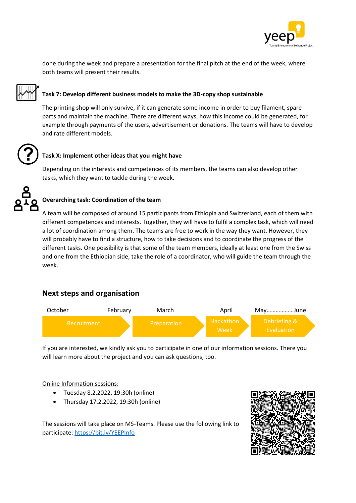

done during the week and prepare a presentation for the final pitch at the end of the week, where both teams will present their results.

## **Task 7: Develop different business models to make the 3D-copy shop sustainable**

The printing shop will only survive, if it can generate some income in order to buy filament, spare parts and maintain the machine. There are different ways, how this income could be generated, for example through payments of the users, advertisement or donations. The teams will have to develop and rate different models.

# **Task X: Implement other ideas that you might have**

Depending on the interests and competences of its members, the teams can also develop other tasks, which they want to tackle during the week.

## **Overarching task: Coordination of the team**

A team will be composed of around 15 participants from Ethiopia and Switzerland, each of them with different competences and interests. Together, they will have to fulfil a complex task, which will need a lot of coordination among them. The teams are free to work in the way they want. However, they will probably have to find a structure, how to take decisions and to coordinate the progress of the different tasks. One possibility is that some of the team members, ideally at least one from the Swiss and one from the Ethiopian side, take the role of a coordinator, who will guide the team through the week.

## **Next steps and organisation**



If you are interested, we kindly ask you to participate in one of our information sessions. There you will learn more about the project and you can ask questions, too.

#### Online Information sessions:

- Tuesday 8.2.2022, 19:30h (online)
- Thursday 17.2.2022, 19:30h (online)



The sessions will take place on MS-Teams. Please use the following link to participate[: https://bit.ly/YEEPInfo](https://bit.ly/YEEPInfo)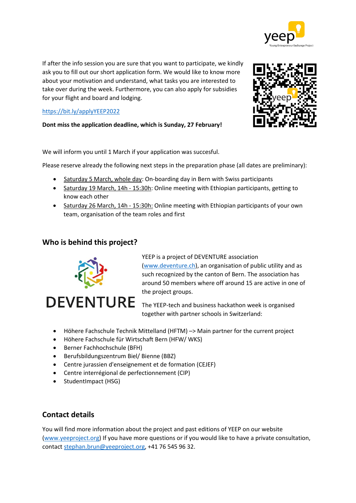

If after the info session you are sure that you want to participate, we kindly ask you to fill out our short application form. We would like to know more about your motivation and understand, what tasks you are interested to take over during the week. Furthermore, you can also apply for subsidies for your flight and board and lodging.

## <https://bit.ly/applyYEEP2022>

**Dont miss the application deadline, which is Sunday, 27 February!**

We will inform you until 1 March if your application was succesful.

Please reserve already the following next steps in the preparation phase (all dates are preliminary):

- Saturday 5 March, whole day: On-boarding day in Bern with Swiss participants
- Saturday 19 March, 14h 15:30h: Online meeting with Ethiopian participants, getting to know each other
- Saturday 26 March, 14h 15:30h: Online meeting with Ethiopian participants of your own team, organisation of the team roles and first

# **Who is behind this project?**



YEEP is a project of DEVENTURE association [\(www.deventure.ch\)](http://www.deventure.ch/), an organisation of public utility and as such recognized by the canton of Bern. The association has around 50 members where off around 15 are active in one of the project groups.

The YEEP-tech and business hackathon week is organised together with partner schools in Switzerland:

- Höhere Fachschule Technik Mittelland (HFTM) –> Main partner for the current project
- Höhere Fachschule für Wirtschaft Bern (HFW/ WKS)
- Berner Fachhochschule (BFH)
- Berufsbildungszentrum Biel/ Bienne (BBZ)
- Centre jurassien d'enseignement et de formation (CEJEF)
- Centre interrégional de perfectionnement (CIP)
- StudentImpact (HSG)

# **Contact details**

You will find more information about the project and past editions of YEEP on our website [\(www.yeeproject.org\)](http://www.yeeproject.org/) If you have more questions or if you would like to have a private consultation, contact [stephan.brun@yeeproject.org,](mailto:stephan.brun@yeeproject.org) +41 76 545 96 32.

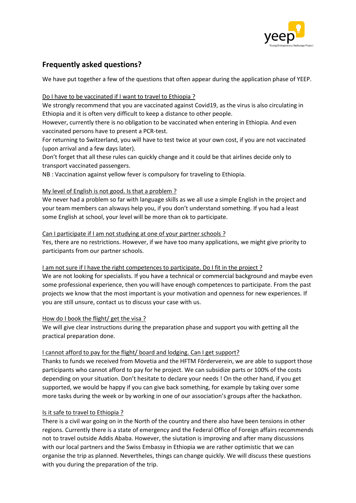

# **Frequently asked questions?**

We have put together a few of the questions that often appear during the application phase of YEEP.

#### Do I have to be vaccinated if I want to travel to Ethiopia ?

We strongly recommend that you are vaccinated against Covid19, as the virus is also circulating in Ethiopia and it is often very difficult to keep a distance to other people.

However, currently there is no obligation to be vaccinated when entering in Ethiopia. And even vaccinated persons have to present a PCR-test.

For returning to Switzerland, you will have to test twice at your own cost, if you are not vaccinated (upon arrival and a few days later).

Don't forget that all these rules can quickly change and it could be that airlines decide only to transport vaccinated passengers.

NB : Vaccination against yellow fever is compulsory for traveling to Ethiopia.

## My level of English is not good. Is that a problem ?

We never had a problem so far with language skills as we all use a simple English in the project and your team members can alsways help you, if you don't understand something. If you had a least some English at school, your level will be more than ok to participate.

#### Can I participate if I am not studying at one of your partner schools ?

Yes, there are no restrictions. However, if we have too many applications, we might give priority to participants from our partner schools.

#### I am not sure if I have the right competences to participate. Do I fit in the project ?

We are not looking for specialists. If you have a technical or commercial background and maybe even some professional experience, then you will have enough competences to participate. From the past projects we know that the most important is your motivation and openness for new experiences. If you are still unsure, contact us to discuss your case with us.

#### How do I book the flight/ get the visa ?

We will give clear instructions during the preparation phase and support you with getting all the practical preparation done.

## I cannot afford to pay for the flight/ board and lodging. Can I get support?

Thanks to funds we received from Movetia and the HFTM Förderverein, we are able to support those participants who cannot afford to pay for he project. We can subsidize parts or 100% of the costs depending on your situation. Don't hesitate to declare your needs ! On the other hand, if you get supported, we would be happy if you can give back something, for example by taking over some more tasks during the week or by working in one of our association's groups after the hackathon.

#### Is it safe to travel to Ethiopia ?

There is a civil war going on in the North of the country and there also have been tensions in other regions. Currently there is a state of emergency and the Federal Office of Foreign affairs recommends not to travel outside Addis Ababa. However, the siutation is improving and after many discussions with our local partners and the Swiss Embassy in Ethiopia we are rather optimistic that we can organise the trip as planned. Nevertheles, things can change quickly. We will discuss these questions with you during the preparation of the trip.